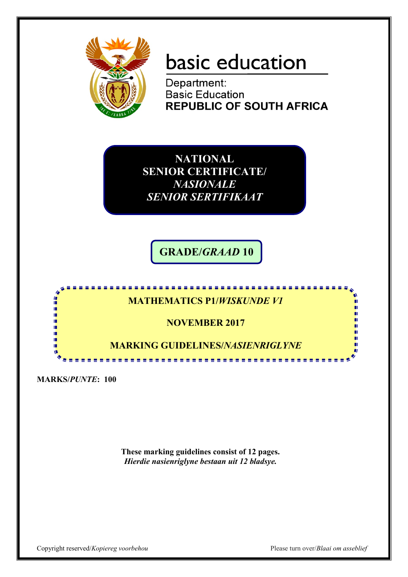

# basic education

Department: **Basic Education REPUBLIC OF SOUTH AFRICA** 

**NATIONAL SENIOR CERTIFICATE/** *NASIONALE SENIOR SERTIFIKAAT*

**GRADE/***GRAAD* **10**



**MARKS/***PUNTE***: 100**

**These marking guidelines consist of 12 pages.** *Hierdie nasienriglyne bestaan uit 12 bladsye.*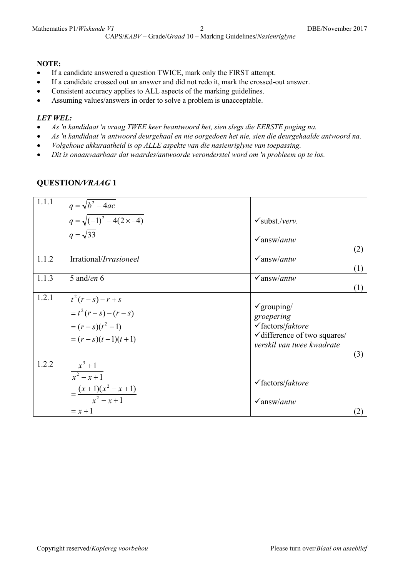#### **NOTE:**

- If a candidate answered a question TWICE, mark only the FIRST attempt.
- If a candidate crossed out an answer and did not redo it, mark the crossed-out answer.
- Consistent accuracy applies to ALL aspects of the marking guidelines.
- Assuming values/answers in order to solve a problem is unacceptable.

#### *LET WEL:*

- *As 'n kandidaat 'n vraag TWEE keer beantwoord het, sien slegs die EERSTE poging na.*
- *As 'n kandidaat 'n antwoord deurgehaal en nie oorgedoen het nie, sien die deurgehaalde antwoord na.*
- *Volgehoue akkuraatheid is op ALLE aspekte van die nasienriglyne van toepassing.*
- *Dit is onaanvaarbaar dat waardes/antwoorde veronderstel word om 'n probleem op te los.*

| 1.1.1 | $q = \sqrt{b^2 - 4ac}$<br>$q = \sqrt{(-1)^2 - 4(2 \times -4)}$                                   | $\checkmark$ subst./verv.                                                                                                                           |
|-------|--------------------------------------------------------------------------------------------------|-----------------------------------------------------------------------------------------------------------------------------------------------------|
|       | $q=\sqrt{33}$                                                                                    | $\sqrt{answ/antw}$<br>(2)                                                                                                                           |
| 1.1.2 | Irrational/Irrasioneel                                                                           | $\sqrt{answ/antw}$<br>(1)                                                                                                                           |
| 1.1.3 | 5 and/en $6$                                                                                     | $\sqrt{answ/antw}$<br>(1)                                                                                                                           |
| 1.2.1 | $t^{2}(r-s)-r+s$<br>$= t2 (r - s) - (r - s)$<br>$=(r-s)(t^2-1)$<br>$=(r-s)(t-1)(t+1)$            | $\checkmark$ grouping/<br>groepering<br>$\checkmark$ factors/faktore<br>$\checkmark$ difference of two squares/<br>verskil van twee kwadrate<br>(3) |
| 1.2.2 | $x^3 + 1$<br>$\frac{x^2 - x + 1}{x^2 - x + 1}$<br>$=\frac{(x+1)(x^2-x+1)}{x^2-x+1}$<br>$= x + 1$ | $\checkmark$ factors/ <i>faktore</i><br>$\sqrt{answ/antw}$                                                                                          |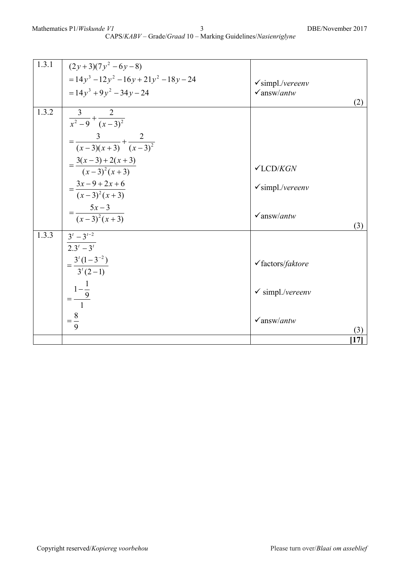| 1.3.1 | $(2y+3)(7y^2-6y-8)$                        |                                      |
|-------|--------------------------------------------|--------------------------------------|
|       | $= 14y^3 - 12y^2 - 16y + 21y^2 - 18y - 24$ | $\checkmark$ simpl./vereenv          |
|       | $= 14y^3 + 9y^2 - 34y - 24$                | $\sqrt{answ/antw}$                   |
|       |                                            | (2)                                  |
| 1.3.2 | $\frac{3}{x^2-9}+\frac{2}{(x-3)^2}$        |                                      |
|       | $=\frac{3}{(x-3)(x+3)}+\frac{2}{(x-3)^2}$  |                                      |
|       |                                            |                                      |
|       | $=\frac{3(x-3)+2(x+3)}{(x-3)^2(x+3)}$      | $\checkmark$ LCD/KGN                 |
|       |                                            |                                      |
|       | $=\frac{3x-9+2x+6}{(x-3)^2(x+3)}$          | $\checkmark$ simpl./vereenv          |
|       |                                            |                                      |
|       | $=\frac{5x-3}{(x-3)^2(x+3)}$               | $\sqrt{answ/antw}$                   |
|       |                                            | (3)                                  |
| 1.3.3 | $3^t-3^{t-2}$                              |                                      |
|       | $\sqrt{2 \cdot 3^t - 3^t}$                 |                                      |
|       | $=\frac{3^{t}(1-3^{-2})}{3^{t}(2-1)}$      | $\checkmark$ factors/ <i>faktore</i> |
|       |                                            |                                      |
|       |                                            | $\checkmark$ simpl./vereenv          |
|       | $=$ $\frac{1-\frac{1}{9}}{1}$              |                                      |
|       |                                            |                                      |
|       | $=\frac{8}{9}$                             | $\sqrt{answ/antw}$<br>(3)            |
|       |                                            | 17                                   |
|       |                                            |                                      |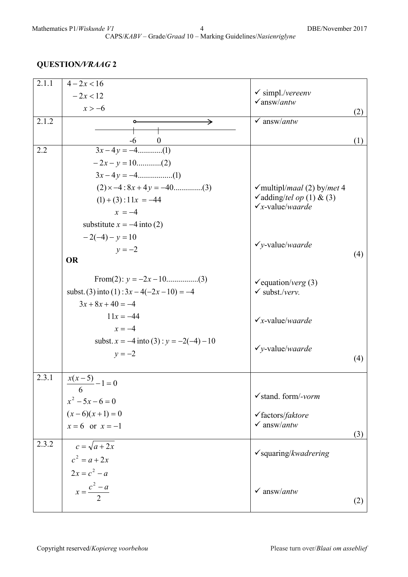| 2.1.1 | $4 - 2x < 16$                                |                                                        |     |
|-------|----------------------------------------------|--------------------------------------------------------|-----|
|       | $-2x < 12$                                   | $\checkmark$ simpl./vereenv                            |     |
|       | $x > -6$                                     | $\sqrt{answ/antw}$                                     |     |
| 2.1.2 | →<br>٥                                       | $\checkmark$ answ/antw                                 | (2) |
|       |                                              |                                                        |     |
|       | -6<br>$\overline{0}$                         |                                                        | (1) |
| 2.2   | $3x-4y=-4$ (1)                               |                                                        |     |
|       |                                              |                                                        |     |
|       |                                              |                                                        |     |
|       |                                              | $\checkmark$ multipl/ <i>maal</i> (2) by/ <i>met</i> 4 |     |
|       | $(1) + (3)$ : 1 1x = -44                     | vadding/tel op (1) & (3)                               |     |
|       | $x = -4$                                     | $\checkmark$ x-value/waarde                            |     |
|       | substitute $x = -4$ into (2)                 |                                                        |     |
|       | $-2(-4)-y=10$                                |                                                        |     |
|       | $v = -2$                                     | $\checkmark$ y-value/waarde                            |     |
|       | <b>OR</b>                                    |                                                        | (4) |
|       |                                              |                                                        |     |
|       |                                              | $\checkmark$ equation/verg (3)                         |     |
|       | subst. (3) into (1): $3x - 4(-2x - 10) = -4$ | $\checkmark$ subst./verv.                              |     |
|       | $3x + 8x + 40 = -4$                          |                                                        |     |
|       | $11x = -44$                                  | $\checkmark$ x-value/waarde                            |     |
|       | $x = -4$                                     |                                                        |     |
|       | subst. $x = -4$ into (3): $y = -2(-4) - 10$  |                                                        |     |
|       | $y = -2$                                     | $\checkmark$ y-value/waarde                            |     |
|       |                                              |                                                        | (4) |
| 2.3.1 | $\frac{x(x-5)}{x-5}-1=0$                     |                                                        |     |
|       | 6                                            |                                                        |     |
|       |                                              | $\checkmark$ stand. form/-vorm                         |     |
|       | $x^2 - 5x - 6 = 0$<br>$(x-6)(x+1) = 0$       | $\checkmark$ factors/ <i>faktore</i>                   |     |
|       | $x=6$ or $x=-1$                              | $\checkmark$ answ/antw                                 |     |
|       |                                              |                                                        | (3) |
| 2.3.2 | $c = \sqrt{a+2x}$                            |                                                        |     |
|       | $c^2 = a + 2x$                               | $\checkmark$ squaring/kwadrering                       |     |
|       | $2x = c^2 - a$                               |                                                        |     |
|       | $x = \frac{c^2 - a}{2}$                      |                                                        |     |
|       |                                              | $\checkmark$ answ/ <i>antw</i>                         |     |
|       |                                              |                                                        | (2) |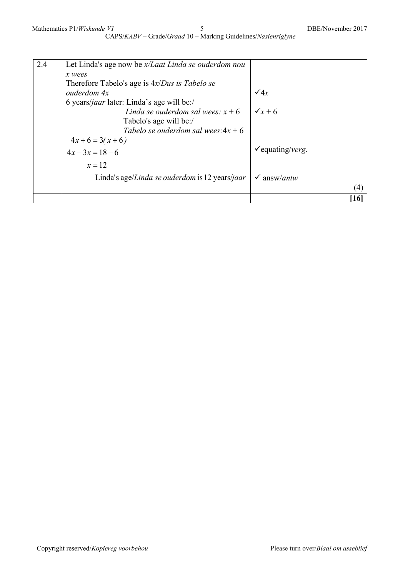| 2.4 | Let Linda's age now be x/Laat Linda se ouderdom nou |                                |
|-----|-----------------------------------------------------|--------------------------------|
|     | x wees                                              |                                |
|     | Therefore Tabelo's age is $4x/Dus$ is Tabelo se     |                                |
|     | ouderdom 4x                                         | $\sqrt{4x}$                    |
|     | 6 years/jaar later: Linda's age will be:/           |                                |
|     | Linda se ouderdom sal wees: $x + 6$                 | $\sqrt{x+6}$                   |
|     | Tabelo's age will be:/                              |                                |
|     | Tabelo se ouderdom sal wees: $4x + 6$               |                                |
|     | $4x+6=3(x+6)$                                       |                                |
|     | $4x-3x=18-6$                                        | $\checkmark$ equating/verg.    |
|     |                                                     |                                |
|     | $x=12$                                              |                                |
|     | Linda's age/Linda se ouderdom is 12 years/jaar      | $\checkmark$ answ/ <i>antw</i> |
|     |                                                     | (4)                            |
|     |                                                     |                                |
|     |                                                     | 16                             |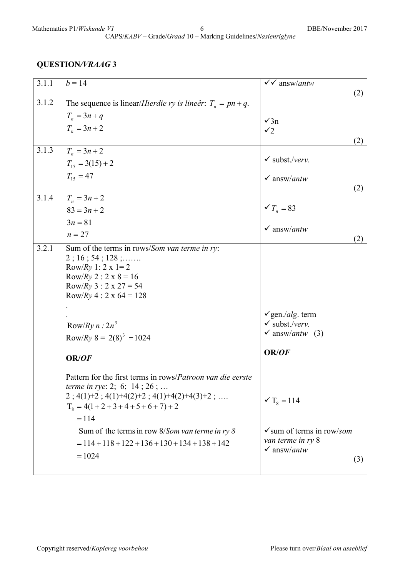| 3.1.1 | $b = 14$                                                               | $\sqrt{\sqrt{a}}$ answ/antw                                     |
|-------|------------------------------------------------------------------------|-----------------------------------------------------------------|
|       |                                                                        | (2)                                                             |
| 3.1.2 | The sequence is linear/ <i>Hierdie ry is lineêr</i> : $T_n = pn + q$ . |                                                                 |
|       | $T_n = 3n + q$                                                         | $\sqrt{3n}$                                                     |
|       | $T_n = 3n + 2$                                                         | $\checkmark$                                                    |
|       |                                                                        | (2)                                                             |
| 3.1.3 | $T_n = 3n + 2$                                                         |                                                                 |
|       | $T_{15} = 3(15) + 2$                                                   | $\checkmark$ subst./verv.                                       |
|       | $T_{15} = 47$                                                          | $\checkmark$ answ/antw                                          |
|       |                                                                        | (2)                                                             |
| 3.1.4 | $T_n = 3n + 2$                                                         |                                                                 |
|       | $83 = 3n + 2$                                                          | $\checkmark T_n = 83$                                           |
|       | $3n = 81$                                                              |                                                                 |
|       | $n = 27$                                                               | $\checkmark$ answ/antw                                          |
| 3.2.1 |                                                                        | (2)                                                             |
|       | Sum of the terms in rows/Som van terme in ry:<br>$2$ ; 16; 54; 128;    |                                                                 |
|       | Row/Ry 1: 2 x 1= 2                                                     |                                                                 |
|       | Row/Ry 2 : $2 \times 8 = 16$                                           |                                                                 |
|       | Row/Ry 3 : $2 \times 27 = 54$                                          |                                                                 |
|       | Row/Ry 4 : 2 x 64 = 128                                                |                                                                 |
|       |                                                                        |                                                                 |
|       |                                                                        | $\checkmark$ gen./alg. term                                     |
|       | Row/Ry $n: 2n^3$                                                       | $\checkmark$ subst./verv.<br>$\checkmark$ answ/ <i>antw</i> (3) |
|       | Row/Ry $8 = 2(8)^3 = 1024$                                             |                                                                 |
|       |                                                                        | OR/OF                                                           |
|       | OR/OF                                                                  |                                                                 |
|       | Pattern for the first terms in rows/Patroon van die eerste             |                                                                 |
|       | <i>terme in rye:</i> 2; 6; 14; 26;                                     |                                                                 |
|       | $2$ ; 4(1)+2; 4(1)+4(2)+2; 4(1)+4(2)+4(3)+2;                           | $\sqrt{T_8} = 114$                                              |
|       | $T_8 = 4(1 + 2 + 3 + 4 + 5 + 6 + 7) + 2$                               |                                                                 |
|       | $= 114$                                                                |                                                                 |
|       | Sum of the terms in row $8/5$ <i>om van terme in ry</i> $8$            | $\checkmark$ sum of terms in row/som                            |
|       | $= 114 + 118 + 122 + 136 + 130 + 134 + 138 + 142$                      | van terme in ry 8                                               |
|       |                                                                        | $\checkmark$ answ/antw                                          |
|       | $= 1024$                                                               | (3)                                                             |
|       |                                                                        |                                                                 |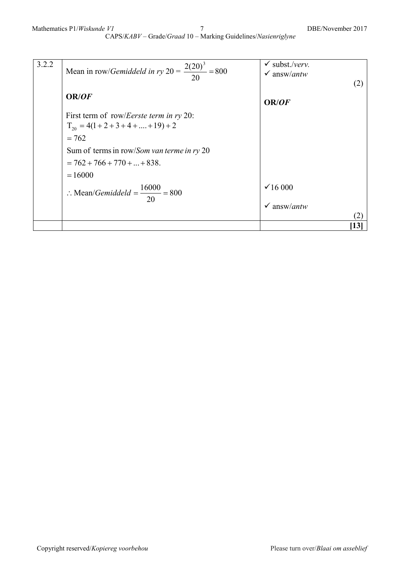CAPS/*KABV* – Grade/*Graad* 10 – Marking Guidelines/*Nasienriglyne*

| 3.2.2 | Mean in row/ <i>Gemiddeld in ry</i> $20 = \frac{2(20)^3}{20} = 800$                                                                                                                                    | $\checkmark$ subst./verv.<br>$\checkmark$ answ/ <i>antw</i><br>(2) |
|-------|--------------------------------------------------------------------------------------------------------------------------------------------------------------------------------------------------------|--------------------------------------------------------------------|
|       | OR/OF                                                                                                                                                                                                  | OR/ <i>OF</i>                                                      |
|       | First term of row/ <i>Eerste term in ry</i> 20:<br>$T_{20} = 4(1 + 2 + 3 + 4 + \dots + 19) + 2$<br>$= 762$<br>Sum of terms in row/Som van terme in ry 20<br>$= 762 + 766 + 770 +  + 838.$<br>$= 16000$ |                                                                    |
|       | : Mean/ <i>Gemiddeld</i> = $\frac{16000}{20}$ = 800                                                                                                                                                    | $\times$ 16 000<br>$\checkmark$ answ/ <i>antw</i>                  |
|       |                                                                                                                                                                                                        | 13                                                                 |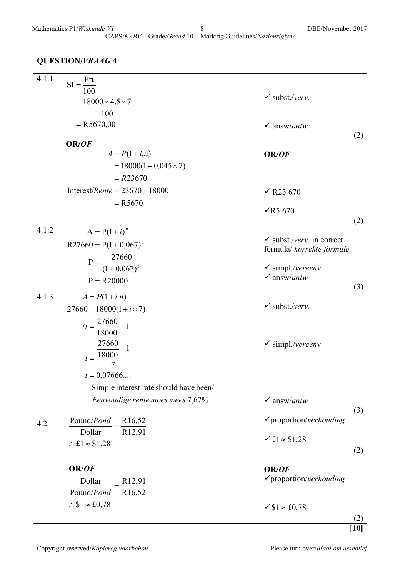| 4.1.1 | $SI = \frac{Prt}{100}$                                                   |                                                       |      |
|-------|--------------------------------------------------------------------------|-------------------------------------------------------|------|
|       |                                                                          | $\checkmark$ subst./verv.                             |      |
|       | $18000 \times 4,5 \times 7$                                              |                                                       |      |
|       | 100                                                                      |                                                       |      |
|       | $= R5670,00$                                                             | $\checkmark$ answ/antw                                |      |
|       | OR/OF                                                                    |                                                       | (2)  |
|       | $A = P(1 + i.n)$                                                         | OR/OF                                                 |      |
|       | $= 18000(1 + 0.045 \times 7)$                                            |                                                       |      |
|       | $= R23670$                                                               |                                                       |      |
|       | Interest/Rente = $23670 - 18000$                                         | $\times$ R23 670                                      |      |
|       | $= R5670$                                                                |                                                       |      |
|       |                                                                          | $\sqrt{R5670}$                                        |      |
| 4.1.2 |                                                                          |                                                       | (2)  |
|       | $A = P(1 + i)^n$                                                         | $\checkmark$ subst./verv. in correct                  |      |
|       | $R27660 = P(1 + 0.067)^5$                                                | formula/ korrekte formule                             |      |
|       | $P = \frac{27660}{(1+0.067)^5}$                                          |                                                       |      |
|       |                                                                          | $\checkmark$ simpl./vereenv<br>$\checkmark$ answ/antw |      |
|       | $P = R20000$                                                             |                                                       | (3)  |
| 4.1.3 | $A = P(1 + i.n)$                                                         |                                                       |      |
|       | $27660 = 18000(1 + i \times 7)$                                          | $\checkmark$ subst./verv.                             |      |
|       | $7i = \frac{27660}{1} - 1$                                               |                                                       |      |
|       | 18000                                                                    |                                                       |      |
|       |                                                                          | $\checkmark$ simpl./vereenv                           |      |
|       | $i = \frac{\frac{27660}{18000} - 1}{7}$                                  |                                                       |      |
|       | $i = 0,07666$                                                            |                                                       |      |
|       |                                                                          |                                                       |      |
|       | Simple interest rate should have been/                                   |                                                       |      |
|       | Eenvoudige rente moes wees 7,67%                                         | $\checkmark$ answ/antw                                | (3)  |
| 4.2   | Pound/Pond<br>R <sub>16</sub> ,52                                        | $\checkmark$ proportion/verhouding                    |      |
|       | Dollar<br>R12,91                                                         |                                                       |      |
|       | $\therefore$ £1 $\approx$ \$1,28                                         | $\times$ £1 $\approx$ \$1,28                          |      |
|       |                                                                          |                                                       | (2)  |
|       | OR/OF                                                                    | OR/OF                                                 |      |
|       |                                                                          | $\checkmark$ proportion/verhouding                    |      |
|       | $\frac{\text{Dollar}}{\text{Pound}/\text{Pond}} = \frac{R12,91}{R16,52}$ |                                                       |      |
|       | $\therefore$ \$1 $\approx$ £0,78                                         | $\checkmark$ \$1 $\approx$ £0,78                      |      |
|       |                                                                          |                                                       |      |
|       |                                                                          |                                                       | [10] |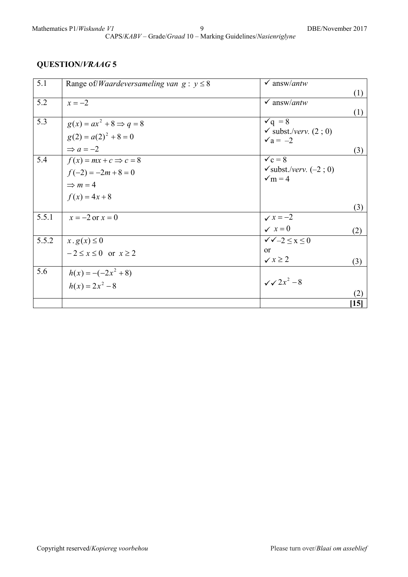CAPS/*KABV* – Grade/*Graad* 10 – Marking Guidelines/*Nasienriglyne*

| 5.1   | Range of/ <i>Waardeversameling van</i> $g : y \leq 8$ | $\checkmark$ answ/antw            |      |
|-------|-------------------------------------------------------|-----------------------------------|------|
|       |                                                       |                                   | (1)  |
| 5.2   | $x=-2$                                                | $\checkmark$ answ/ <i>antw</i>    |      |
|       |                                                       |                                   | (1)  |
| 5.3   | $g(x) = ax^2 + 8 \Rightarrow q = 8$                   | $\check{q} = 8$                   |      |
|       | $g(2) = a(2)^{2} + 8 = 0$                             | $\checkmark$ subst./verv. (2; 0)  |      |
|       |                                                       | $\sqrt{a} = -2$                   |      |
|       | $\Rightarrow$ a = -2                                  |                                   | (3)  |
| 5.4   | $f(x) = mx + c \Rightarrow c = 8$                     | $\sqrt{c} = 8$                    |      |
|       | $f(-2) = -2m + 8 = 0$                                 | $\checkmark$ subst./verv. (-2; 0) |      |
|       | $\Rightarrow$ m = 4                                   | $\sqrt{m} = 4$                    |      |
|       |                                                       |                                   |      |
|       | $f(x) = 4x + 8$                                       |                                   |      |
|       |                                                       |                                   | (3)  |
| 5.5.1 | $x = -2$ or $x = 0$                                   | $\checkmark$ $x = -2$             |      |
|       |                                                       | $\checkmark$ $x=0$                | (2)  |
| 5.5.2 | $x. g(x) \leq 0$                                      | $\sqrt{\sqrt{-2}} < x < 0$        |      |
|       | $-2 \le x \le 0$ or $x \ge 2$                         | $\alpha$                          |      |
|       |                                                       | $\checkmark$ $x \geq 2$           | (3)  |
| 5.6   | $h(x) = -(-2x^2 + 8)$                                 |                                   |      |
|       |                                                       | $\sqrt{x^2-8}$                    |      |
|       | $h(x) = 2x^2 - 8$                                     |                                   |      |
|       |                                                       |                                   | (2)  |
|       |                                                       |                                   | [15] |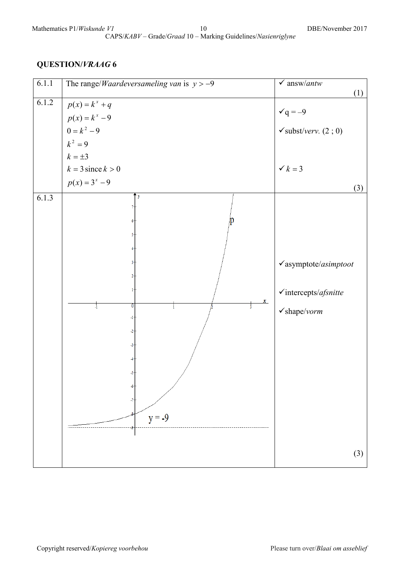## Mathematics P1/*Wiskunde V1* 10 DBE/November 2017

CAPS/*KABV* – Grade/*Graad* 10 – Marking Guidelines/*Nasienriglyne*

| 6.1.1 | The range/ <i>Waardeversameling van</i> is $y > -9$                                                                            | $\checkmark$ answ/antw                                                                                 |
|-------|--------------------------------------------------------------------------------------------------------------------------------|--------------------------------------------------------------------------------------------------------|
| 6.1.2 | $p(x) = k^x + q$<br>$p(x) = k^x - 9$<br>0 = $k^2 - 9$<br>$k^2 = 9$<br>$k = \pm 3$<br>$k = 3$ since $k > 0$<br>$p(x) = 3^x - 9$ | (1)<br>$\check{q} = -9$<br>$\checkmark$ subst/verv. (2; 0)<br>$\checkmark k=3$                         |
| 6.1.3 | y<br>$\boldsymbol{x}$<br>0<br>$\frac{1}{3}$<br>$\frac{1}{2}$<br>Ť.<br>-1-<br>$-2-$<br>-3-<br>-5-<br>$y = -9$                   | (3)<br>$\checkmark$ asymptote/asimptoot<br>$\checkmark$ intercepts/afsnitte<br>$\checkmark$ shape/vorm |
|       |                                                                                                                                | (3)                                                                                                    |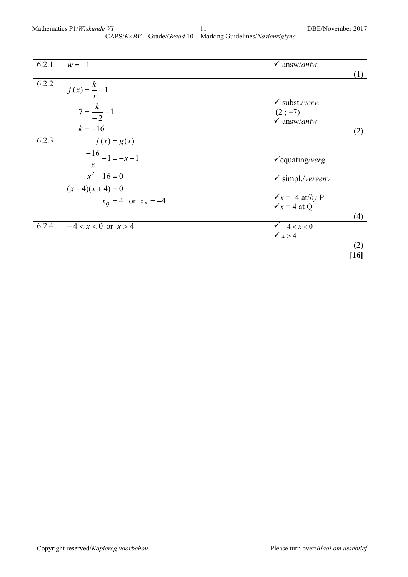| 6.2.1 | $w=-1$                       | $\checkmark$ answ/ <i>antw</i> |                   |
|-------|------------------------------|--------------------------------|-------------------|
|       |                              |                                | (1)               |
| 6.2.2 | $f(x) = \frac{k}{x} - 1$     |                                |                   |
|       |                              | $\checkmark$ subst./verv.      |                   |
|       | $7 = \frac{k}{-2} - 1$       | $(2;-7)$                       |                   |
|       |                              | $\checkmark$ answ/antw         |                   |
|       | $k = -16$                    |                                | (2)               |
| 6.2.3 | $f(x) = g(x)$                |                                |                   |
|       | $\frac{-16}{-} - 1 = -x - 1$ |                                |                   |
|       | $\boldsymbol{\chi}$          | $\checkmark$ equating/verg.    |                   |
|       | $x^2 - 16 = 0$               | $\checkmark$ simpl./vereenv    |                   |
|       | $(x-4)(x+4) = 0$             |                                |                   |
|       | $x_0 = 4$ or $x_p = -4$      | $\sqrt{x}$ = -4 at/by P        |                   |
|       |                              | $\sqrt{x}$ = 4 at Q            |                   |
|       |                              |                                | (4)               |
| 6.2.4 | $-4 < x < 0$ or $x > 4$      | $\sqrt{-4} < x < 0$            |                   |
|       |                              | $\checkmark$ x > 4             |                   |
|       |                              |                                | (2)               |
|       |                              |                                | $\left[16\right]$ |